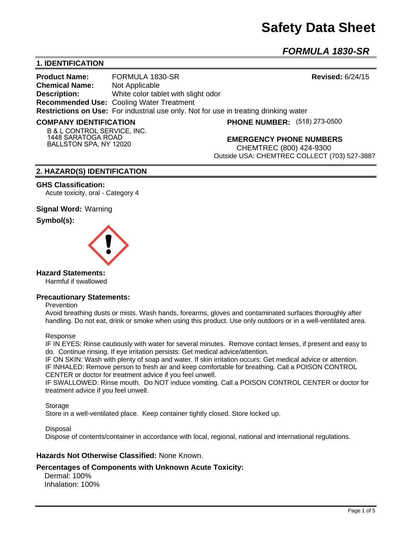# **Safety Data Sheet**

*FORMULA 1830-SR*

# **1. IDENTIFICATION**

**Product Name:** FORMULA 1830-SR **Revised:** 6/24/15 **Chemical Name:** Not Applicable **Description:** White color tablet with slight odor **Recommended Use:** Cooling Water Treatment **Restrictions on Use:** For industrial use only. Not for use in treating drinking water

#### **COMPANY IDENTIFICATION**

**(518) 273-0500**

**B & L CONTROL SERVICE, INC. 1448 SARATOGA ROAD BALLSTON SPA, NY 12020**

**EMERGENCY PHONE NUMBERS**

CHEMTREC (800) 424-9300 Outside USA: CHEMTREC COLLECT (703) 527-3887

# **2. HAZARD(S) IDENTIFICATION**

#### **GHS Classification:**

Acute toxicity, oral - Category 4

# **Signal Word:** Warning

# **Symbol(s):**



# **Hazard Statements:**

Harmful if swallowed

# **Precautionary Statements:**

#### Prevention

Avoid breathing dusts or mists. Wash hands, forearms, gloves and contaminated surfaces thoroughly after handling. Do not eat, drink or smoke when using this product. Use only outdoors or in a well-ventilated area.

#### Response

IF IN EYES: Rinse cautiously with water for several minutes. Remove contact lenses, if present and easy to do. Continue rinsing. If eye irritation persists: Get medical advice/attention.

IF ON SKIN: Wash with plenty of soap and water. If skin irritation occurs: Get medical advice or attention. IF INHALED: Remove person to fresh air and keep comfortable for breathing. Call a POISON CONTROL CENTER or doctor for treatment advice if you feel unwell.

IF SWALLOWED: Rinse mouth. Do NOT induce vomiting. Call a POISON CONTROL CENTER or doctor for treatment advice if you feel unwell.

Storage

Store in a well-ventilated place. Keep container tightly closed. Store locked up.

Disposal

Dispose of contents/container in accordance with local, regional, national and international regulations.

# **Hazards Not Otherwise Classified:** None Known.

# **Percentages of Components with Unknown Acute Toxicity:**

 Dermal: 100% Inhalation: 100%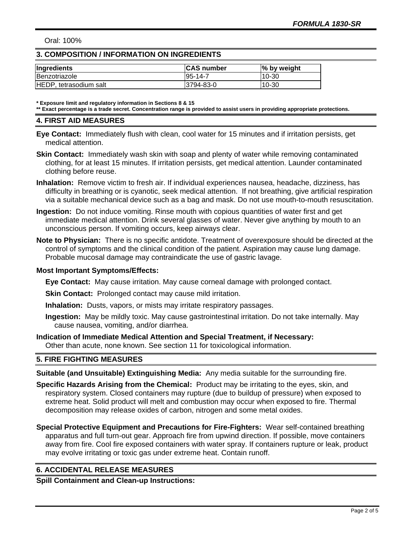Oral: 100%

# **3. COMPOSITION / INFORMATION ON INGREDIENTS**

| Ingredients            | <b>CAS number</b> | % by weight |
|------------------------|-------------------|-------------|
| Benzotriazole          | $195 - 14 - 7$    | $10 - 30$   |
| HEDP, tetrasodium salt | 3794-83-0         | $10 - 30$   |

**\* Exposure limit and regulatory information in Sections 8 & 15**

**\*\* Exact percentage is a trade secret. Concentration range is provided to assist users in providing appropriate protections.**

#### **4. FIRST AID MEASURES**

- **Eye Contact:** Immediately flush with clean, cool water for 15 minutes and if irritation persists, get medical attention.
- **Skin Contact:** Immediately wash skin with soap and plenty of water while removing contaminated clothing, for at least 15 minutes. If irritation persists, get medical attention. Launder contaminated clothing before reuse.
- **Inhalation:** Remove victim to fresh air. If individual experiences nausea, headache, dizziness, has difficulty in breathing or is cyanotic, seek medical attention. If not breathing, give artificial respiration via a suitable mechanical device such as a bag and mask. Do not use mouth-to-mouth resuscitation.
- **Ingestion:** Do not induce vomiting. Rinse mouth with copious quantities of water first and get immediate medical attention. Drink several glasses of water. Never give anything by mouth to an unconscious person. If vomiting occurs, keep airways clear.
- **Note to Physician:** There is no specific antidote. Treatment of overexposure should be directed at the control of symptoms and the clinical condition of the patient. Aspiration may cause lung damage. Probable mucosal damage may contraindicate the use of gastric lavage.

# **Most Important Symptoms/Effects:**

**Eye Contact:** May cause irritation. May cause corneal damage with prolonged contact.

**Skin Contact:** Prolonged contact may cause mild irritation.

**Inhalation:** Dusts, vapors, or mists may irritate respiratory passages.

**Ingestion:** May be mildly toxic. May cause gastrointestinal irritation. Do not take internally. May cause nausea, vomiting, and/or diarrhea.

# **Indication of Immediate Medical Attention and Special Treatment, if Necessary:**

Other than acute, none known. See section 11 for toxicological information.

# **5. FIRE FIGHTING MEASURES**

**Suitable (and Unsuitable) Extinguishing Media:** Any media suitable for the surrounding fire.

- **Specific Hazards Arising from the Chemical:** Product may be irritating to the eyes, skin, and respiratory system. Closed containers may rupture (due to buildup of pressure) when exposed to extreme heat. Solid product will melt and combustion may occur when exposed to fire. Thermal decomposition may release oxides of carbon, nitrogen and some metal oxides.
- **Special Protective Equipment and Precautions for Fire-Fighters:** Wear self-contained breathing apparatus and full turn-out gear. Approach fire from upwind direction. If possible, move containers away from fire. Cool fire exposed containers with water spray. If containers rupture or leak, product may evolve irritating or toxic gas under extreme heat. Contain runoff.

# **6. ACCIDENTAL RELEASE MEASURES**

**Spill Containment and Clean-up Instructions:**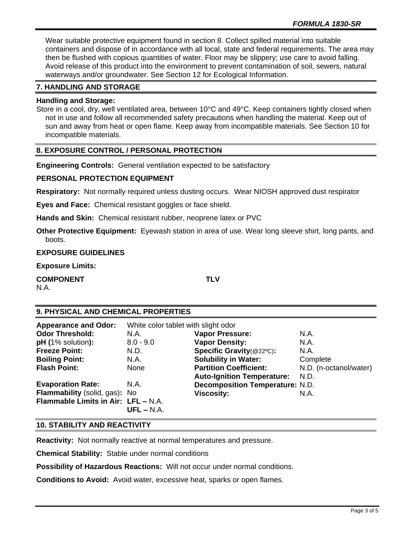Wear suitable protective equipment found in section 8. Collect spilled material into suitable containers and dispose of in accordance with all local, state and federal requirements. The area may then be flushed with copious quantities of water. Floor may be slippery; use care to avoid falling. Avoid release of this product into the environment to prevent contamination of soil, sewers, natural waterways and/or groundwater. See Section 12 for Ecological Information.

# **7. HANDLING AND STORAGE**

#### **Handling and Storage:**

Store in a cool, dry, well ventilated area, between 10°C and 49°C. Keep containers tightly closed when not in use and follow all recommended safety precautions when handling the material. Keep out of sun and away from heat or open flame. Keep away from incompatible materials. See Section 10 for incompatible materials.

# **8. EXPOSURE CONTROL / PERSONAL PROTECTION**

**Engineering Controls:** General ventilation expected to be satisfactory

# **PERSONAL PROTECTION EQUIPMENT**

**Respiratory:** Not normally required unless dusting occurs. Wear NIOSH approved dust respirator

**Eyes and Face:** Chemical resistant goggles or face shield.

**Hands and Skin:** Chemical resistant rubber, neoprene latex or PVC

**Other Protective Equipment:** Eyewash station in area of use. Wear long sleeve shirt, long pants, and boots.

#### **EXPOSURE GUIDELINES**

**Exposure Limits:** 

**COMPONENT TLV**

N.A.

# **9. PHYSICAL AND CHEMICAL PROPERTIES**

| <b>Appearance and Odor:</b>         | White color tablet with slight odor |                                        |                        |
|-------------------------------------|-------------------------------------|----------------------------------------|------------------------|
| <b>Odor Threshold:</b>              | N.A.                                | <b>Vapor Pressure:</b>                 | N.A.                   |
| $pH (1%$ solution):                 | $8.0 - 9.0$                         | <b>Vapor Density:</b>                  | N.A.                   |
| <b>Freeze Point:</b>                | N.D.                                | Specific Gravity(@22°C):               | N.A.                   |
| <b>Boiling Point:</b>               | N.A.                                | <b>Solubility in Water:</b>            | Complete               |
| <b>Flash Point:</b>                 | None                                | <b>Partition Coefficient:</b>          | N.D. (n-octanol/water) |
|                                     |                                     | <b>Auto-Ignition Temperature:</b>      | N.D.                   |
| <b>Evaporation Rate:</b>            | N.A.                                | <b>Decomposition Temperature: N.D.</b> |                        |
| Flammability (solid, gas): No       |                                     | <b>Viscosity:</b>                      | N.A.                   |
| Flammable Limits in Air: LFL - N.A. |                                     |                                        |                        |
|                                     | $UFL - N.A.$                        |                                        |                        |

# **10. STABILITY AND REACTIVITY**

**Reactivity:** Not normally reactive at normal temperatures and pressure.

**Chemical Stability:** Stable under normal conditions

**Possibility of Hazardous Reactions:** Will not occur under normal conditions.

**Conditions to Avoid:** Avoid water, excessive heat, sparks or open flames.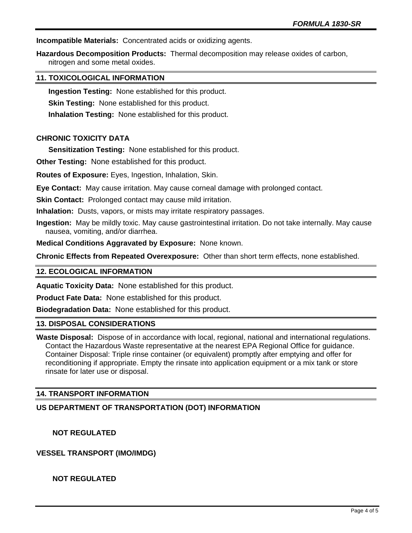**Incompatible Materials:** Concentrated acids or oxidizing agents.

**Hazardous Decomposition Products:** Thermal decomposition may release oxides of carbon, nitrogen and some metal oxides.

# **11. TOXICOLOGICAL INFORMATION**

**Ingestion Testing:** None established for this product.

**Skin Testing:** None established for this product.

**Inhalation Testing:** None established for this product.

# **CHRONIC TOXICITY DATA**

**Sensitization Testing:** None established for this product.

**Other Testing:** None established for this product.

**Routes of Exposure:** Eyes, Ingestion, Inhalation, Skin.

**Eye Contact:** May cause irritation. May cause corneal damage with prolonged contact.

**Skin Contact:** Prolonged contact may cause mild irritation.

**Inhalation:** Dusts, vapors, or mists may irritate respiratory passages.

**Ingestion:** May be mildly toxic. May cause gastrointestinal irritation. Do not take internally. May cause nausea, vomiting, and/or diarrhea.

**Medical Conditions Aggravated by Exposure:** None known.

**Chronic Effects from Repeated Overexposure:** Other than short term effects, none established.

#### **12. ECOLOGICAL INFORMATION**

**Aquatic Toxicity Data:** None established for this product.

**Product Fate Data:** None established for this product.

**Biodegradation Data:** None established for this product.

#### **13. DISPOSAL CONSIDERATIONS**

**Waste Disposal:** Dispose of in accordance with local, regional, national and international regulations. Contact the Hazardous Waste representative at the nearest EPA Regional Office for guidance. Container Disposal: Triple rinse container (or equivalent) promptly after emptying and offer for reconditioning if appropriate. Empty the rinsate into application equipment or a mix tank or store rinsate for later use or disposal.

# **14. TRANSPORT INFORMATION**

#### **US DEPARTMENT OF TRANSPORTATION (DOT) INFORMATION**

 **NOT REGULATED**

**VESSEL TRANSPORT (IMO/IMDG)**

 **NOT REGULATED**